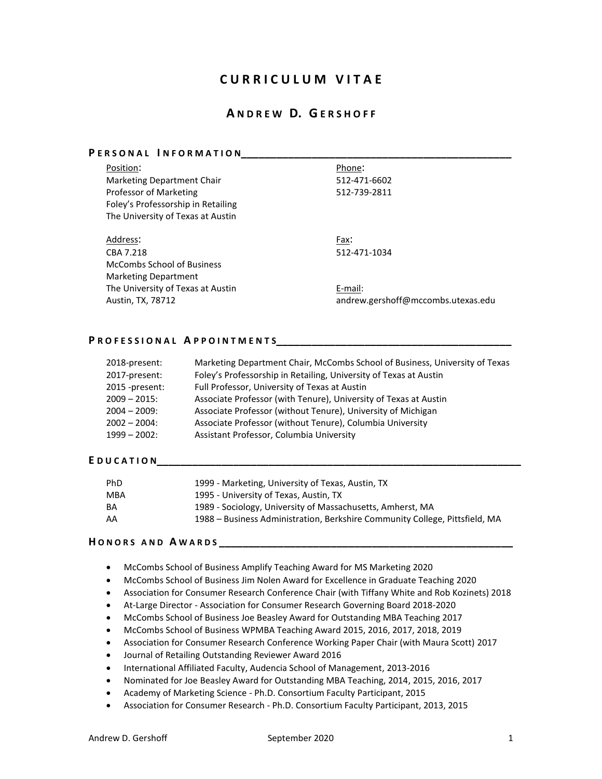# **C U R R I C U L U M V I T A E**

## **A N D R E W D. G E R S H O F F**

| PERSONAL INFORMATION               |                                    |
|------------------------------------|------------------------------------|
| Position:                          | Phone:                             |
| <b>Marketing Department Chair</b>  | 512-471-6602                       |
| Professor of Marketing             | 512-739-2811                       |
| Foley's Professorship in Retailing |                                    |
| The University of Texas at Austin  |                                    |
| Address:                           | Fax:                               |
| CBA 7.218                          | 512-471-1034                       |
| <b>McCombs School of Business</b>  |                                    |
| <b>Marketing Department</b>        |                                    |
| The University of Texas at Austin  | E-mail:                            |
| Austin, TX, 78712                  | andrew.gershoff@mccombs.utexas.edu |
|                                    |                                    |

### **P R O F E S S I O N A L A P P O I N T M E N T S\_\_\_\_\_\_\_\_\_\_\_\_\_\_\_\_\_\_\_\_\_\_\_\_\_\_\_\_\_\_\_\_\_\_\_\_\_\_\_\_**

| 2018-present:   | Marketing Department Chair, McCombs School of Business, University of Texas |
|-----------------|-----------------------------------------------------------------------------|
| 2017-present:   | Foley's Professorship in Retailing, University of Texas at Austin           |
| 2015 - present: | Full Professor, University of Texas at Austin                               |
| $2009 - 2015$   | Associate Professor (with Tenure), University of Texas at Austin            |
| $2004 - 2009$ : | Associate Professor (without Tenure), University of Michigan                |
| $2002 - 2004$ : | Associate Professor (without Tenure), Columbia University                   |
| $1999 - 2002$ : | Assistant Professor, Columbia University                                    |
|                 |                                                                             |

## **E D U C A T I O N**

| <b>PhD</b> | 1999 - Marketing, University of Texas, Austin, TX                           |
|------------|-----------------------------------------------------------------------------|
| MBA        | 1995 - University of Texas, Austin, TX                                      |
| BA         | 1989 - Sociology, University of Massachusetts, Amherst, MA                  |
| AA         | 1988 – Business Administration, Berkshire Community College, Pittsfield, MA |

#### **H** ON ORS AND A WARDS THE SERVICE SERVICE SERVICE SERVICE SERVICE SERVICE SERVICE SERVICE SERVICE SERVICE SERVICE SERVICE SERVICE SERVICE SERVICE SERVICE SERVICE SERVICE SERVICE SERVICE SERVICE SERVICE SERVICE SERVICE SER

- McCombs School of Business Amplify Teaching Award for MS Marketing 2020
- McCombs School of Business Jim Nolen Award for Excellence in Graduate Teaching 2020
- **Association for Consumer Research Conference Chair (with Tiffany White and Rob Kozinets) 2018**
- At-Large Director Association for Consumer Research Governing Board 2018-2020
- McCombs School of Business Joe Beasley Award for Outstanding MBA Teaching 2017
- x McCombs School of Business WPMBA Teaching Award 2015, 2016, 2017, 2018, 2019
- Association for Consumer Research Conference Working Paper Chair (with Maura Scott) 2017
- Journal of Retailing Outstanding Reviewer Award 2016
- International Affiliated Faculty, Audencia School of Management, 2013-2016
- Nominated for Joe Beasley Award for Outstanding MBA Teaching, 2014, 2015, 2016, 2017
- Academy of Marketing Science Ph.D. Consortium Faculty Participant, 2015
- Association for Consumer Research Ph.D. Consortium Faculty Participant, 2013, 2015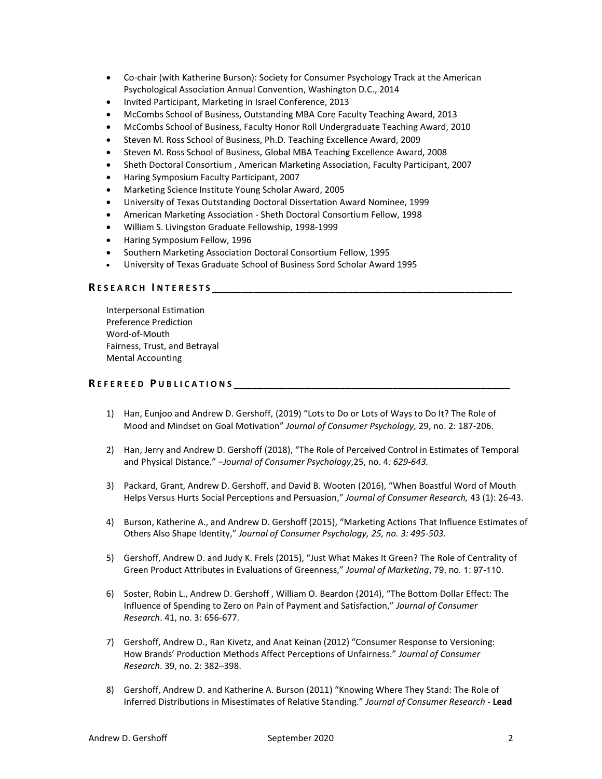- Co-chair (with Katherine Burson): Society for Consumer Psychology Track at the American Psychological Association Annual Convention, Washington D.C., 2014
- Invited Participant, Marketing in Israel Conference, 2013
- McCombs School of Business, Outstanding MBA Core Faculty Teaching Award, 2013
- x McCombs School of Business, Faculty Honor Roll Undergraduate Teaching Award, 2010
- Steven M. Ross School of Business, Ph.D. Teaching Excellence Award, 2009
- Steven M. Ross School of Business, Global MBA Teaching Excellence Award, 2008
- x Sheth Doctoral Consortium , American Marketing Association, Faculty Participant, 2007
- x Haring Symposium Faculty Participant, 2007
- x Marketing Science Institute Young Scholar Award, 2005
- University of Texas Outstanding Doctoral Dissertation Award Nominee, 1999
- American Marketing Association Sheth Doctoral Consortium Fellow, 1998
- x William S. Livingston Graduate Fellowship, 1998-1999
- Haring Symposium Fellow, 1996
- Southern Marketing Association Doctoral Consortium Fellow, 1995
- x University of Texas Graduate School of Business Sord Scholar Award 1995

### **R E S E A R C H I N T E R E S T S \_\_\_\_\_\_\_\_\_\_\_\_\_\_\_\_\_\_\_\_\_\_\_\_\_\_\_\_\_\_\_\_\_\_\_\_\_\_\_\_\_\_\_\_\_\_\_\_\_\_\_**

Interpersonal Estimation Preference Prediction Word-of-Mouth Fairness, Trust, and Betrayal Mental Accounting

### **R E F E R E E D P U B L I C A T I O N S \_\_\_\_\_\_\_\_\_\_\_\_\_\_\_\_\_\_\_\_\_\_\_\_\_\_\_\_\_\_\_\_\_\_\_\_\_\_\_\_\_\_\_\_\_\_\_**

- 1) Han, Eunjoo and Andrew D. Gershoff, (2019) "Lots to Do or Lots of Ways to Do It? The Role of Mood and Mindset on Goal Motivation͟*Journal of Consumer Psychology,* 29, no. 2: 187-206.
- 2) Han, Jerry and Andrew D. Gershoff (2018), "The Role of Perceived Control in Estimates of Temporal and Physical Distance." - Journal of Consumer Psychology, 25, no. 4: 629-643.
- 3) Packard, Grant, Andrew D. Gershoff, and David B. Wooten (2016), "When Boastful Word of Mouth Helps Versus Hurts Social Perceptions and Persuasion," Journal of Consumer Research, 43 (1): 26-43.
- 4) Burson, Katherine A., and Andrew D. Gershoff (2015), "Marketing Actions That Influence Estimates of Others Also Shape Identity," Journal of Consumer Psychology, 25, no. 3: 495-503.
- 5) Gershoff, Andrew D. and Judy K. Frels (2015), "Just What Makes It Green? The Role of Centrality of Green Product Attributes in Evaluations of Greenness," Journal of Marketing, 79, no. 1: 97-110.
- 6) Soster, Robin L., Andrew D. Gershoff, William O. Beardon (2014), "The Bottom Dollar Effect: The Influence of Spending to Zero on Pain of Payment and Satisfaction," Journal of Consumer *Research*. 41, no. 3: 656-677.
- 7) Gershoff, Andrew D., Ran Kivetz, and Anat Keinan (2012) "Consumer Response to Versioning: How Brands' Production Methods Affect Perceptions of Unfairness." Journal of Consumer *Research.* 39, no. 2: 382-398.
- 8) Gershoff, Andrew D. and Katherine A. Burson (2011) "Knowing Where They Stand: The Role of Inferred Distributions in Misestimates of Relative Standing." Journal of Consumer Research - Lead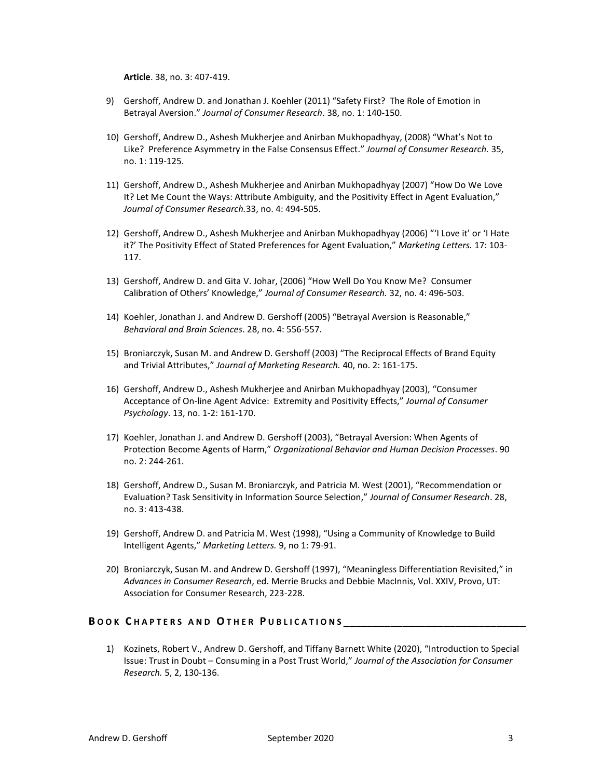**Article**. 38, no. 3: 407-419.

- 9) Gershoff, Andrew D. and Jonathan J. Koehler (2011) "Safety First? The Role of Emotion in Betrayal Aversion." Journal of Consumer Research. 38, no. 1: 140-150.
- 10) Gershoff, Andrew D., Ashesh Mukherjee and Anirban Mukhopadhyay, (2008) "What's Not to Like? Preference Asymmetry in the False Consensus Effect.<sup>*"*</sup> Journal of Consumer Research. 35, no. 1: 119-125.
- 11) Gershoff, Andrew D., Ashesh Mukherjee and Anirban Mukhopadhyay (2007) "How Do We Love It? Let Me Count the Ways: Attribute Ambiguity, and the Positivity Effect in Agent Evaluation," *Journal of Consumer Research.*33, no. 4: 494-505.
- 12) Gershoff, Andrew D., Ashesh Mukherjee and Anirban Mukhopadhyay (2006) "'I Love it' or 'I Hate it?' The Positivity Effect of Stated Preferences for Agent Evaluation," Marketing Letters. 17: 103-117.
- 13) Gershoff, Andrew D. and Gita V. Johar, (2006) "How Well Do You Know Me? Consumer Calibration of Others' Knowledge," Journal of Consumer Research. 32, no. 4: 496-503.
- 14) Koehler, Jonathan J. and Andrew D. Gershoff (2005) "Betrayal Aversion is Reasonable," *Behavioral and Brain Sciences*. 28, no. 4: 556-557.
- 15) Broniarczyk, Susan M. and Andrew D. Gershoff (2003) "The Reciprocal Effects of Brand Equity and Trivial Attributes," Journal of Marketing Research. 40, no. 2: 161-175.
- 16) Gershoff, Andrew D., Ashesh Mukherjee and Anirban Mukhopadhyay (2003), "Consumer Acceptance of On-line Agent Advice: Extremity and Positivity Effects," Journal of Consumer *Psychology*. 13, no. 1-2: 161-170.
- 17) Koehler, Jonathan J. and Andrew D. Gershoff (2003), "Betrayal Aversion: When Agents of Protection Become Agents of Harm," Organizational Behavior and Human Decision Processes. 90 no. 2: 244-261.
- 18) Gershoff, Andrew D., Susan M. Broniarczyk, and Patricia M. West (2001), "Recommendation or Evaluation? Task Sensitivity in Information Source Selection," Journal of Consumer Research. 28, no. 3: 413-438.
- 19) Gershoff, Andrew D. and Patricia M. West (1998), "Using a Community of Knowledge to Build Intelligent Agents," Marketing Letters. 9, no 1: 79-91.
- 20) Broniarczyk, Susan M. and Andrew D. Gershoff (1997), "Meaningless Differentiation Revisited," in *Advances in Consumer Research*, ed. Merrie Brucks and Debbie MacInnis, Vol. XXIV, Provo, UT: Association for Consumer Research, 223-228.

## BOOK CHAPTERS AND OTHER PUBLICATIONS

1) Kozinets, Robert V., Andrew D. Gershoff, and Tiffany Barnett White (2020), "Introduction to Special Issue: Trust in Doubt - Consuming in a Post Trust World," Journal of the Association for Consumer *Research.* 5, 2, 130-136.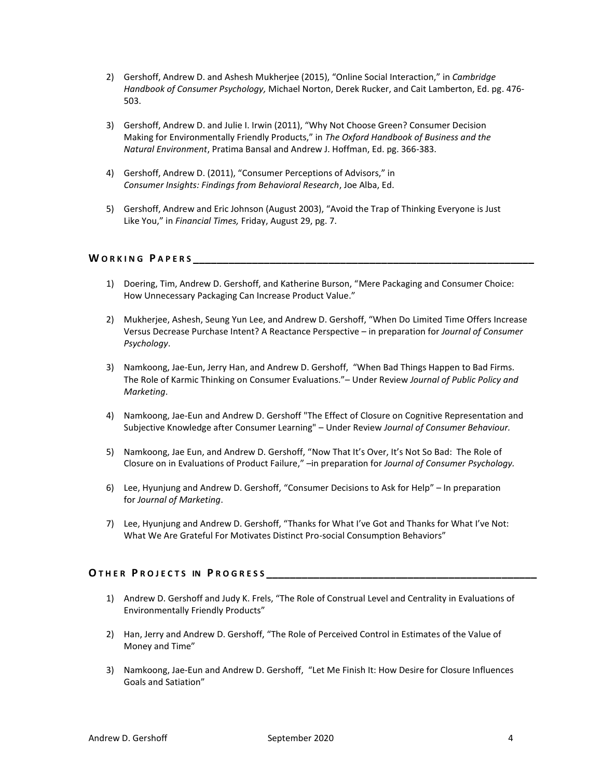- 2) Gershoff, Andrew D. and Ashesh Mukherjee (2015), "Online Social Interaction," in *Cambridge Handbook of Consumer Psychology,* Michael Norton, Derek Rucker, and Cait Lamberton, Ed. pg. 476- 503.
- 3) Gershoff, Andrew D. and Julie I. Irwin (2011), "Why Not Choose Green? Consumer Decision Making for Environmentally Friendly Products," in The Oxford Handbook of Business and the *Natural Environment*, Pratima Bansal and Andrew J. Hoffman, Ed. pg. 366-383.
- 4) Gershoff, Andrew D. (2011), "Consumer Perceptions of Advisors," in *Consumer Insights: Findings from Behavioral Research*, Joe Alba, Ed.
- 5) Gershoff, Andrew and Eric Johnson (August 2003), "Avoid the Trap of Thinking Everyone is Just Like You," in Financial Times, Friday, August 29, pg. 7.

## WORKING PAPERS

- 1) Doering, Tim, Andrew D. Gershoff, and Katherine Burson, "Mere Packaging and Consumer Choice: How Unnecessary Packaging Can Increase Product Value."
- 2) Mukherjee, Ashesh, Seung Yun Lee, and Andrew D. Gershoff, "When Do Limited Time Offers Increase Versus Decrease Purchase Intent? A Reactance Perspective - in preparation for *Journal of Consumer Psychology*.
- 3) Namkoong, Jae-Eun, Jerry Han, and Andrew D. Gershoff, "When Bad Things Happen to Bad Firms. The Role of Karmic Thinking on Consumer Evaluations." - Under Review *Journal of Public Policy and Marketing*.
- 4) Namkoong, Jae-Eun and Andrew D. Gershoff "The Effect of Closure on Cognitive Representation and Subjective Knowledge after Consumer Learning" - Under Review Journal of Consumer Behaviour.
- 5) Namkoong, Jae Eun, and Andrew D. Gershoff, "Now That It's Over, It's Not So Bad: The Role of Closure on in Evaluations of Product Failure,"  $-$ in preparation for *Journal of Consumer Psychology*.
- 6) Lee, Hyunjung and Andrew D. Gershoff, "Consumer Decisions to Ask for Help" In preparation for *Journal of Marketing*.
- 7) Lee, Hyunjung and Andrew D. Gershoff, "Thanks for What I've Got and Thanks for What I've Not: What We Are Grateful For Motivates Distinct Pro-social Consumption Behaviors"

## **OTHER PROJECTS IN PROGRESS**

- 1) Andrew D. Gershoff and Judy K. Frels, "The Role of Construal Level and Centrality in Evaluations of Environmentally Friendly Products"
- 2) Han, Jerry and Andrew D. Gershoff, "The Role of Perceived Control in Estimates of the Value of Money and Time"
- 3) Namkoong, Jae-Eun and Andrew D. Gershoff, "Let Me Finish It: How Desire for Closure Influences Goals and Satiation"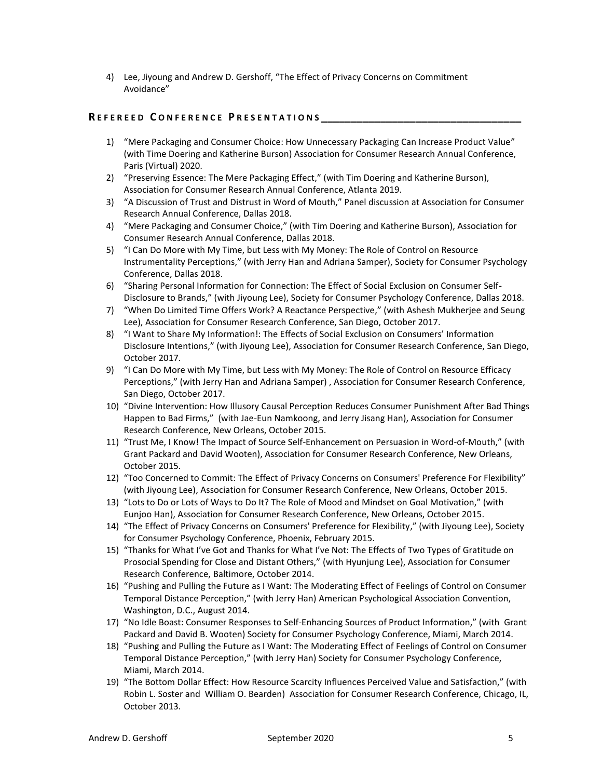4) Lee, Jiyoung and Andrew D. Gershoff, "The Effect of Privacy Concerns on Commitment Avoidance"

## **R E F E R E E D C O N F E R E N C E P R E S E N T A T I O N S \_\_\_\_\_\_\_\_\_\_\_\_\_\_\_\_\_\_\_\_\_\_\_\_\_\_\_\_\_\_\_\_\_\_**

- 1) "Mere Packaging and Consumer Choice: How Unnecessary Packaging Can Increase Product Value" (with Time Doering and Katherine Burson) Association for Consumer Research Annual Conference, Paris (Virtual) 2020.
- 2) "Preserving Essence: The Mere Packaging Effect," (with Tim Doering and Katherine Burson), Association for Consumer Research Annual Conference, Atlanta 2019.
- 3) "A Discussion of Trust and Distrust in Word of Mouth," Panel discussion at Association for Consumer Research Annual Conference, Dallas 2018.
- 4) *"*Mere Packaging and Consumer Choice," (with Tim Doering and Katherine Burson), Association for Consumer Research Annual Conference, Dallas 2018.
- 5) "I Can Do More with My Time, but Less with My Money: The Role of Control on Resource Instrumentality Perceptions," (with Jerry Han and Adriana Samper), Society for Consumer Psychology Conference, Dallas 2018.
- 6) "Sharing Personal Information for Connection: The Effect of Social Exclusion on Consumer Self-Disclosure to Brands," (with Jiyoung Lee), Society for Consumer Psychology Conference, Dallas 2018.
- 7) "When Do Limited Time Offers Work? A Reactance Perspective," (with Ashesh Mukherjee and Seung Lee), Association for Consumer Research Conference, San Diego, October 2017.
- 8) "I Want to Share My Information!: The Effects of Social Exclusion on Consumers' Information Disclosure Intentions," (with Jiyoung Lee), Association for Consumer Research Conference, San Diego, October 2017.
- 9) "I Can Do More with My Time, but Less with My Money: The Role of Control on Resource Efficacy Perceptions," (with Jerry Han and Adriana Samper), Association for Consumer Research Conference, San Diego, October 2017.
- 10) "Divine Intervention: How Illusory Causal Perception Reduces Consumer Punishment After Bad Things Happen to Bad Firms," (with Jae-Eun Namkoong, and Jerry Jisang Han), Association for Consumer Research Conference, New Orleans, October 2015.
- 11) "Trust Me, I Know! The Impact of Source Self-Enhancement on Persuasion in Word-of-Mouth," (with Grant Packard and David Wooten), Association for Consumer Research Conference, New Orleans, October 2015.
- 12) "Too Concerned to Commit: The Effect of Privacy Concerns on Consumers' Preference For Flexibility" (with Jiyoung Lee), Association for Consumer Research Conference, New Orleans, October 2015.
- 13) "Lots to Do or Lots of Ways to Do It? The Role of Mood and Mindset on Goal Motivation," (with Eunjoo Han), Association for Consumer Research Conference, New Orleans, October 2015.
- 14) "The Effect of Privacy Concerns on Consumers' Preference for Flexibility," (with Jiyoung Lee), Society for Consumer Psychology Conference, Phoenix, February 2015.
- 15) "Thanks for What I've Got and Thanks for What I've Not: The Effects of Two Types of Gratitude on Prosocial Spending for Close and Distant Others," (with Hyunjung Lee), Association for Consumer Research Conference, Baltimore, October 2014.
- 16) "Pushing and Pulling the Future as I Want: The Moderating Effect of Feelings of Control on Consumer Temporal Distance Perception," (with Jerry Han) American Psychological Association Convention, Washington, D.C., August 2014.
- 17) "No Idle Boast: Consumer Responses to Self-Enhancing Sources of Product Information," (with Grant Packard and David B. Wooten) Society for Consumer Psychology Conference, Miami, March 2014.
- 18) "Pushing and Pulling the Future as I Want: The Moderating Effect of Feelings of Control on Consumer Temporal Distance Perception," (with Jerry Han) Society for Consumer Psychology Conference, Miami, March 2014.
- 19) "The Bottom Dollar Effect: How Resource Scarcity Influences Perceived Value and Satisfaction," (with Robin L. Soster and William O. Bearden) Association for Consumer Research Conference, Chicago, IL, October 2013.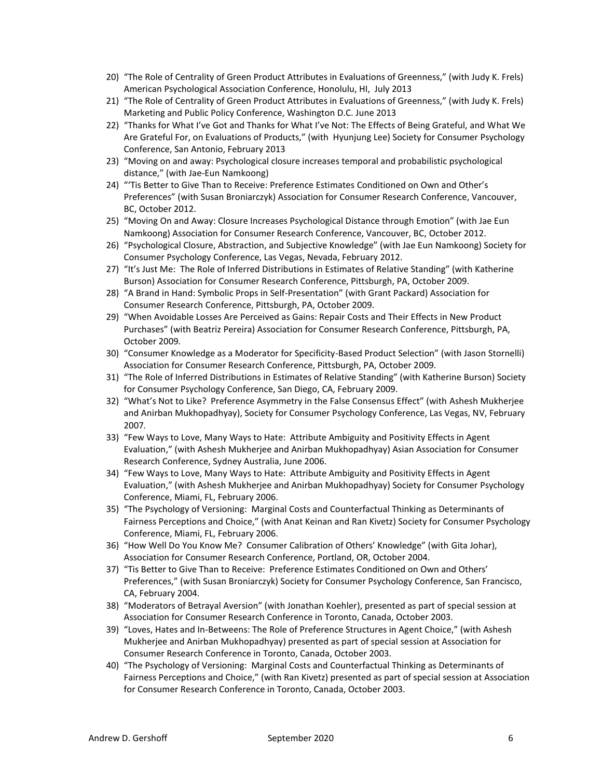- 20) "The Role of Centrality of Green Product Attributes in Evaluations of Greenness," (with Judy K. Frels) American Psychological Association Conference, Honolulu, HI, July 2013
- 21) "The Role of Centrality of Green Product Attributes in Evaluations of Greenness," (with Judy K. Frels) Marketing and Public Policy Conference, Washington D.C. June 2013
- 22) "Thanks for What I've Got and Thanks for What I've Not: The Effects of Being Grateful, and What We Are Grateful For, on Evaluations of Products," (with Hyunjung Lee) Society for Consumer Psychology Conference, San Antonio, February 2013
- 23) "Moving on and away: Psychological closure increases temporal and probabilistic psychological distance," (with Jae-Eun Namkoong)
- 24) "Tis Better to Give Than to Receive: Preference Estimates Conditioned on Own and Other's Preferences" (with Susan Broniarczyk) Association for Consumer Research Conference, Vancouver, BC, October 2012.
- 25) "Moving On and Away: Closure Increases Psychological Distance through Emotion" (with Jae Eun Namkoong) Association for Consumer Research Conference, Vancouver, BC, October 2012.
- 26) "Psychological Closure, Abstraction, and Subjective Knowledge" (with Jae Eun Namkoong) Society for Consumer Psychology Conference, Las Vegas, Nevada, February 2012.
- 27) "It's Just Me: The Role of Inferred Distributions in Estimates of Relative Standing" (with Katherine Burson) Association for Consumer Research Conference, Pittsburgh, PA, October 2009*.*
- 28) "A Brand in Hand: Symbolic Props in Self-Presentation" (with Grant Packard) Association for Consumer Research Conference, Pittsburgh, PA, October 2009*.*
- 29) "When Avoidable Losses Are Perceived as Gains: Repair Costs and Their Effects in New Product Purchases" (with Beatriz Pereira) Association for Consumer Research Conference, Pittsburgh, PA, October 2009*.*
- 30) "Consumer Knowledge as a Moderator for Specificity-Based Product Selection" (with Jason Stornelli) Association for Consumer Research Conference, Pittsburgh, PA, October 2009*.*
- 31) "The Role of Inferred Distributions in Estimates of Relative Standing" (with Katherine Burson) Society for Consumer Psychology Conference, San Diego, CA, February 2009*.*
- 32) "What's Not to Like? Preference Asymmetry in the False Consensus Effect" (with Ashesh Mukherjee and Anirban Mukhopadhyay), Society for Consumer Psychology Conference, Las Vegas, NV, February 2007*.*
- 33) "Few Ways to Love, Many Ways to Hate: Attribute Ambiguity and Positivity Effects in Agent Evaluation," (with Ashesh Mukherjee and Anirban Mukhopadhyay) Asian Association for Consumer Research Conference, Sydney Australia, June 2006.
- 34) "Few Ways to Love, Many Ways to Hate: Attribute Ambiguity and Positivity Effects in Agent Evaluation," (with Ashesh Mukherjee and Anirban Mukhopadhyay) Society for Consumer Psychology Conference, Miami, FL, February 2006.
- 35) "The Psychology of Versioning: Marginal Costs and Counterfactual Thinking as Determinants of Fairness Perceptions and Choice," (with Anat Keinan and Ran Kivetz) Society for Consumer Psychology Conference, Miami, FL, February 2006.
- 36) "How Well Do You Know Me? Consumer Calibration of Others' Knowledge" (with Gita Johar), Association for Consumer Research Conference, Portland, OR, October 2004.
- 37) "Tis Better to Give Than to Receive: Preference Estimates Conditioned on Own and Others' Preferences," (with Susan Broniarczyk) Society for Consumer Psychology Conference, San Francisco, CA, February 2004.
- 38) "Moderators of Betrayal Aversion" (with Jonathan Koehler), presented as part of special session at Association for Consumer Research Conference in Toronto, Canada, October 2003.
- 39) "Loves, Hates and In-Betweens: The Role of Preference Structures in Agent Choice," (with Ashesh Mukherjee and Anirban Mukhopadhyay) presented as part of special session at Association for Consumer Research Conference in Toronto, Canada, October 2003.
- 40) "The Psychology of Versioning: Marginal Costs and Counterfactual Thinking as Determinants of Fairness Perceptions and Choice," (with Ran Kivetz) presented as part of special session at Association for Consumer Research Conference in Toronto, Canada, October 2003.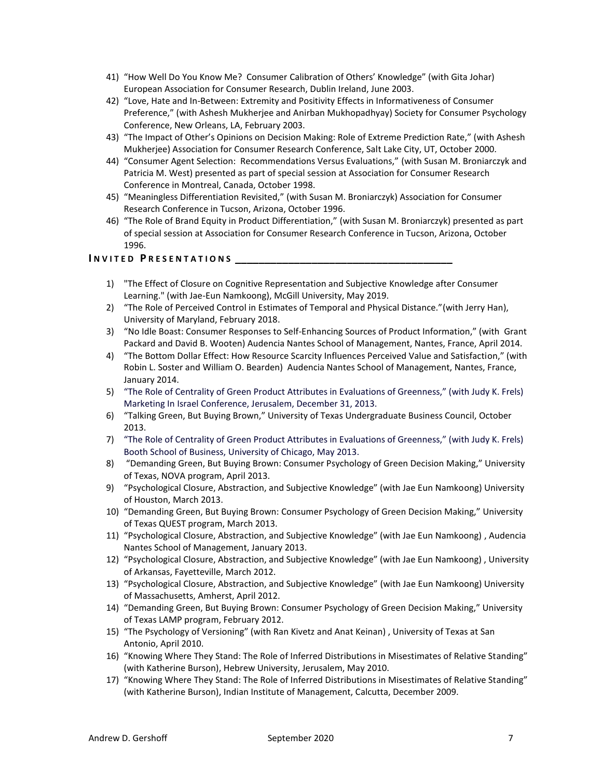- 41) "How Well Do You Know Me? Consumer Calibration of Others' Knowledge" (with Gita Johar) European Association for Consumer Research, Dublin Ireland, June 2003.
- 42) "Love, Hate and In-Between: Extremity and Positivity Effects in Informativeness of Consumer Preference," (with Ashesh Mukherjee and Anirban Mukhopadhyay) Society for Consumer Psychology Conference, New Orleans, LA, February 2003.
- 43) "The Impact of Other's Opinions on Decision Making: Role of Extreme Prediction Rate," (with Ashesh Mukherjee) Association for Consumer Research Conference, Salt Lake City, UT, October 2000.
- 44) "Consumer Agent Selection: Recommendations Versus Evaluations," (with Susan M. Broniarczyk and Patricia M. West) presented as part of special session at Association for Consumer Research Conference in Montreal, Canada, October 1998.
- 45) "Meaningless Differentiation Revisited," (with Susan M. Broniarczyk) Association for Consumer Research Conference in Tucson, Arizona, October 1996.
- 46) "The Role of Brand Equity in Product Differentiation," (with Susan M. Broniarczyk) presented as part of special session at Association for Consumer Research Conference in Tucson, Arizona, October 1996.

## **I N V I T E D P R E S E N T A T I O N S \_\_\_\_\_\_\_\_\_\_\_\_\_\_\_\_\_\_\_\_\_\_\_\_\_\_\_\_\_\_\_\_\_\_\_\_\_**

- 1) "The Effect of Closure on Cognitive Representation and Subjective Knowledge after Consumer Learning." (with Jae-Eun Namkoong), McGill University, May 2019.
- 2) "The Role of Perceived Control in Estimates of Temporal and Physical Distance." (with Jerry Han), University of Maryland, February 2018.
- 3) "No Idle Boast: Consumer Responses to Self-Enhancing Sources of Product Information," (with Grant Packard and David B. Wooten) Audencia Nantes School of Management, Nantes, France, April 2014.
- 4) "The Bottom Dollar Effect: How Resource Scarcity Influences Perceived Value and Satisfaction," (with Robin L. Soster and William O. Bearden) Audencia Nantes School of Management, Nantes, France, January 2014.
- 5) "The Role of Centrality of Green Product Attributes in Evaluations of Greenness," (with Judy K. Frels) Marketing In Israel Conference, Jerusalem, December 31, 2013.
- 6) "Talking Green, But Buying Brown," University of Texas Undergraduate Business Council, October 2013.
- 7) "The Role of Centrality of Green Product Attributes in Evaluations of Greenness," (with Judy K. Frels) Booth School of Business, University of Chicago, May 2013.
- 8) "Demanding Green, But Buying Brown: Consumer Psychology of Green Decision Making," University of Texas, NOVA program, April 2013.
- 9) "Psychological Closure, Abstraction, and Subjective Knowledge" (with Jae Eun Namkoong) University of Houston, March 2013.
- 10) "Demanding Green, But Buying Brown: Consumer Psychology of Green Decision Making," University of Texas QUEST program, March 2013.
- 11) "Psychological Closure, Abstraction, and Subjective Knowledge" (with Jae Eun Namkoong), Audencia Nantes School of Management, January 2013.
- 12) "Psychological Closure, Abstraction, and Subjective Knowledge" (with Jae Eun Namkoong), University of Arkansas, Fayetteville, March 2012.
- 13) "Psychological Closure, Abstraction, and Subjective Knowledge" (with Jae Eun Namkoong) University of Massachusetts, Amherst, April 2012.
- 14) "Demanding Green, But Buying Brown: Consumer Psychology of Green Decision Making," University of Texas LAMP program, February 2012.
- 15) "The Psychology of Versioning" (with Ran Kivetz and Anat Keinan), University of Texas at San Antonio, April 2010.
- 16) "Knowing Where They Stand: The Role of Inferred Distributions in Misestimates of Relative Standing" (with Katherine Burson), Hebrew University, Jerusalem, May 2010.
- 17) "Knowing Where They Stand: The Role of Inferred Distributions in Misestimates of Relative Standing" (with Katherine Burson), Indian Institute of Management, Calcutta, December 2009.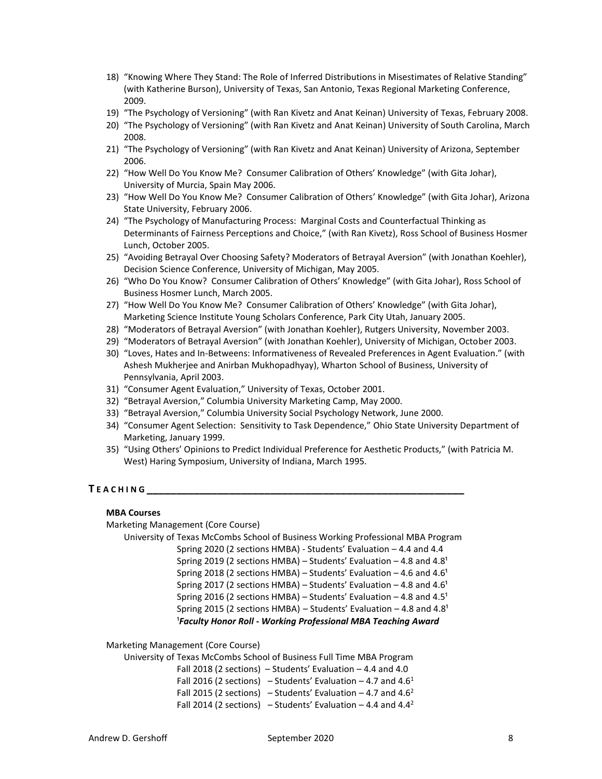- 18) "Knowing Where They Stand: The Role of Inferred Distributions in Misestimates of Relative Standing" (with Katherine Burson), University of Texas, San Antonio, Texas Regional Marketing Conference, 2009.
- 19) "The Psychology of Versioning" (with Ran Kivetz and Anat Keinan) University of Texas, February 2008.
- 20) "The Psychology of Versioning" (with Ran Kivetz and Anat Keinan) University of South Carolina, March 2008.
- 21) "The Psychology of Versioning" (with Ran Kivetz and Anat Keinan) University of Arizona, September 2006.
- 22) "How Well Do You Know Me? Consumer Calibration of Others' Knowledge" (with Gita Johar), University of Murcia, Spain May 2006.
- 23) "How Well Do You Know Me? Consumer Calibration of Others' Knowledge" (with Gita Johar), Arizona State University, February 2006.
- 24) "The Psychology of Manufacturing Process: Marginal Costs and Counterfactual Thinking as Determinants of Fairness Perceptions and Choice," (with Ran Kivetz), Ross School of Business Hosmer Lunch, October 2005.
- 25) "Avoiding Betrayal Over Choosing Safety? Moderators of Betrayal Aversion" (with Jonathan Koehler), Decision Science Conference, University of Michigan, May 2005.
- 26) "Who Do You Know? Consumer Calibration of Others' Knowledge" (with Gita Johar), Ross School of Business Hosmer Lunch, March 2005.
- 27) "How Well Do You Know Me? Consumer Calibration of Others' Knowledge" (with Gita Johar), Marketing Science Institute Young Scholars Conference, Park City Utah, January 2005.
- 28) "Moderators of Betrayal Aversion" (with Jonathan Koehler), Rutgers University, November 2003.
- 29) "Moderators of Betrayal Aversion" (with Jonathan Koehler), University of Michigan, October 2003.
- 30) "Loves, Hates and In-Betweens: Informativeness of Revealed Preferences in Agent Evaluation." (with Ashesh Mukherjee and Anirban Mukhopadhyay), Wharton School of Business, University of Pennsylvania, April 2003.
- 31) "Consumer Agent Evaluation," University of Texas, October 2001.
- 32) "Betrayal Aversion," Columbia University Marketing Camp, May 2000.
- 33) "Betrayal Aversion," Columbia University Social Psychology Network, June 2000.
- 34) "Consumer Agent Selection: Sensitivity to Task Dependence," Ohio State University Department of Marketing, January 1999.
- 35) "Using Others' Opinions to Predict Individual Preference for Aesthetic Products," (with Patricia M. West) Haring Symposium, University of Indiana, March 1995.

### **T E A C H I N G \_\_\_\_\_\_\_\_\_\_\_\_\_\_\_\_\_\_\_\_\_\_\_\_\_\_\_\_\_\_\_\_\_\_\_\_\_\_\_\_\_\_\_\_\_\_\_\_\_\_\_\_\_\_**

#### **MBA Courses**

Marketing Management (Core Course)

University of Texas McCombs School of Business Working Professional MBA Program

Spring 2020 (2 sections HMBA) - Students' Evaluation - 4.4 and 4.4 Spring 2019 (2 sections HMBA) – Students' Evaluation – 4.8 and 4.8<sup>1</sup> Spring 2018 (2 sections HMBA) – Students' Evaluation – 4.6 and 4.6 $^1$ Spring 2017 (2 sections HMBA) – Students' Evaluation – 4.8 and 4.6<sup>1</sup> Spring 2016 (2 sections HMBA) – Students' Evaluation – 4.8 and 4.5<sup>1</sup> Spring 2015 (2 sections HMBA) – Students' Evaluation – 4.8 and 4.8<sup>1</sup> <sup>1</sup> Faculty Honor Roll - Working Professional MBA Teaching Award

Marketing Management (Core Course)

University of Texas McCombs School of Business Full Time MBA Program

Fall 2018 (2 sections)  $-$  Students' Evaluation  $-$  4.4 and 4.0 Fall 2016 (2 sections)  $-$  Students' Evaluation  $-$  4.7 and 4.6<sup>1</sup> Fall 2015 (2 sections) – Students' Evaluation – 4.7 and 4.6<sup>2</sup> Fall 2014 (2 sections)  $-$  Students' Evaluation  $-$  4.4 and 4.4<sup>2</sup>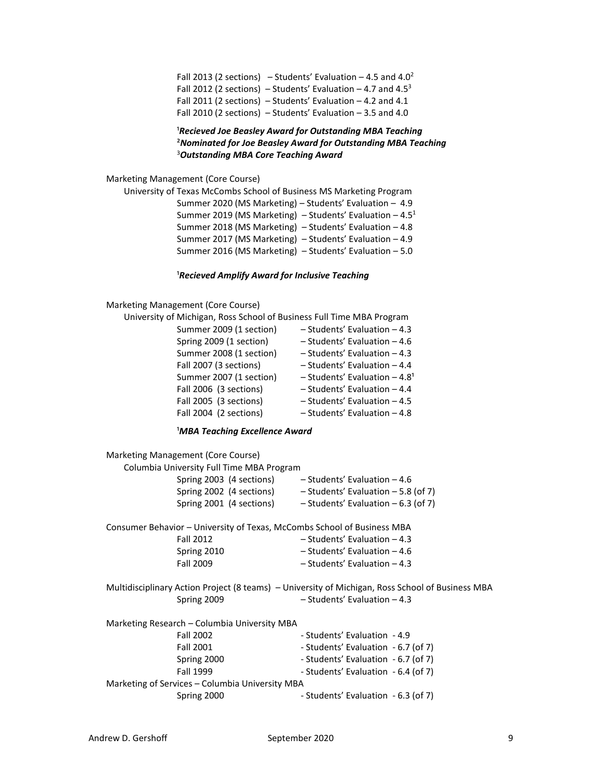Fall 2013 (2 sections)  $-$  Students' Evaluation  $-$  4.5 and 4.0<sup>2</sup> Fall 2012 (2 sections)  $-$  Students' Evaluation  $-$  4.7 and 4.5<sup>3</sup> Fall 2011 (2 sections)  $-$  Students' Evaluation  $-$  4.2 and 4.1 Fall 2010 (2 sections)  $-$  Students' Evaluation  $-$  3.5 and 4.0

## <sup>1</sup>Recieved Joe Beasley Award for Outstanding MBA Teaching ²*Nominated for Joe Beasley Award for Outstanding MBA Teaching* 3 *Outstanding MBA Core Teaching Award*

Marketing Management (Core Course)

| University of Texas McCombs School of Business MS Marketing Program |                                                            |  |  |
|---------------------------------------------------------------------|------------------------------------------------------------|--|--|
|                                                                     | Summer 2020 (MS Marketing) - Students' Evaluation - 4.9    |  |  |
|                                                                     | Summer 2019 (MS Marketing) – Students' Evaluation – $4.51$ |  |  |
|                                                                     | Summer 2018 (MS Marketing) - Students' Evaluation - 4.8    |  |  |
|                                                                     | Summer 2017 (MS Marketing) – Students' Evaluation – 4.9    |  |  |
|                                                                     | Summer 2016 (MS Marketing) $-$ Students' Evaluation $-5.0$ |  |  |

#### <sup>1</sup> Recieved Amplify Award for Inclusive Teaching

## Marketing Management (Core Course)

| University of Michigan, Ross School of Business Full Time MBA Program |                                              |
|-----------------------------------------------------------------------|----------------------------------------------|
| Summer 2009 (1 section)                                               | $-$ Students' Evaluation $-4.3$              |
| Spring 2009 (1 section)                                               | $-$ Students' Evaluation $-4.6$              |
| Summer 2008 (1 section)                                               | $-$ Students' Evaluation $-4.3$              |
| Fall 2007 (3 sections)                                                | $-$ Students' Evaluation $-4.4$              |
| Summer 2007 (1 section)                                               | $-$ Students' Evaluation $-4.8$ <sup>1</sup> |
| Fall 2006 (3 sections)                                                | $-$ Students' Evaluation $-4.4$              |
| Fall 2005 (3 sections)                                                | $-$ Students' Evaluation $-4.5$              |
| Fall 2004 (2 sections)                                                | $-$ Students' Evaluation $-4.8$              |
|                                                                       |                                              |

#### <sup>1</sup>MBA Teaching Excellence Award

|                                                                                                  | Marketing Management (Core Course)<br>Columbia University Full Time MBA Program |                                                                 |  |  |
|--------------------------------------------------------------------------------------------------|---------------------------------------------------------------------------------|-----------------------------------------------------------------|--|--|
|                                                                                                  | Spring 2003 (4 sections)                                                        | $-$ Students' Evaluation $-4.6$                                 |  |  |
|                                                                                                  |                                                                                 | Spring 2002 (4 sections) $-$ Students' Evaluation $-5.8$ (of 7) |  |  |
|                                                                                                  |                                                                                 | Spring 2001 (4 sections) $-$ Students' Evaluation $-6.3$ (of 7) |  |  |
| Consumer Behavior – University of Texas, McCombs School of Business MBA                          |                                                                                 |                                                                 |  |  |
|                                                                                                  | <b>Fall 2012</b>                                                                | $-$ Students' Evaluation $-4.3$                                 |  |  |
|                                                                                                  | Spring 2010                                                                     | $-$ Students' Evaluation $-4.6$                                 |  |  |
|                                                                                                  | Fall 2009                                                                       | $-$ Students' Evaluation $-4.3$                                 |  |  |
| Multidisciplinary Action Project (8 teams) - University of Michigan, Ross School of Business MBA |                                                                                 |                                                                 |  |  |
|                                                                                                  | Spring 2009                                                                     | $-$ Students' Evaluation $-4.3$                                 |  |  |
|                                                                                                  | Marketing Research - Columbia University MBA                                    |                                                                 |  |  |
|                                                                                                  | <b>Fall 2002</b>                                                                | - Students' Evaluation - 4.9                                    |  |  |
|                                                                                                  | <b>Fall 2001</b>                                                                | - Students' Evaluation - 6.7 (of 7)                             |  |  |
|                                                                                                  | Spring 2000                                                                     | - Students' Evaluation - 6.7 (of 7)                             |  |  |
|                                                                                                  | Fall 1999                                                                       | - Students' Evaluation - 6.4 (of 7)                             |  |  |
|                                                                                                  | Marketing of Services - Columbia University MBA                                 |                                                                 |  |  |
|                                                                                                  | Spring 2000                                                                     | - Students' Evaluation - 6.3 (of 7)                             |  |  |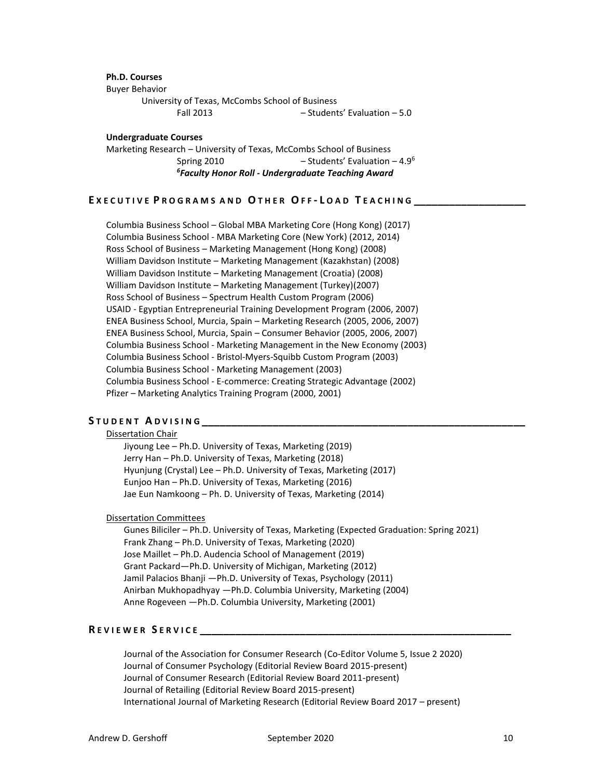**Ph.D. Courses** Buyer Behavior University of Texas, McCombs School of Business Fall 2013 ʹ StudentƐ͛ǀĂůƵĂƚŝŽŶ ʹ 5.0

#### **Undergraduate Courses**

Marketing Research – University of Texas, McCombs School of Business Spring 2010 ʹ ^ƚƵĚĞŶƚƐ͛ǀĂůƵĂƚŝŽŶ ʹ 4.96 *6 Faculty Honor Roll - Undergraduate Teaching Award*

## **E X E C U T I V E P R O G R A M S A N D O T H E R O F F - L O A D T E A C H I N G \_\_\_\_\_\_\_\_\_\_\_\_\_\_\_\_\_\_\_**

Columbia Business School ʹ Global MBA Marketing Core (Hong Kong) (2017) Columbia Business School - MBA Marketing Core (New York) (2012, 2014) Ross School of Business - Marketing Management (Hong Kong) (2008) William Davidson Institute – Marketing Management (Kazakhstan) (2008) William Davidson Institute - Marketing Management (Croatia) (2008) William Davidson Institute - Marketing Management (Turkey)(2007) Ross School of Business - Spectrum Health Custom Program (2006) USAID - Egyptian Entrepreneurial Training Development Program (2006, 2007) ENEA Business School, Murcia, Spain - Marketing Research (2005, 2006, 2007) ENEA Business School, Murcia, Spain - Consumer Behavior (2005, 2006, 2007) Columbia Business School - Marketing Management in the New Economy (2003) Columbia Business School - Bristol-Myers-Squibb Custom Program (2003) Columbia Business School - Marketing Management (2003) Columbia Business School - E-commerce: Creating Strategic Advantage (2002) Pfizer - Marketing Analytics Training Program (2000, 2001)

## **S T U D E N T A D V I S I N G \_\_\_\_\_\_\_\_\_\_\_\_\_\_\_\_\_\_\_\_\_\_\_\_\_\_\_\_\_\_\_\_\_\_\_\_\_\_\_\_\_\_\_\_\_\_\_\_\_\_\_\_\_\_\_**

## Dissertation Chair

Jiyoung Lee – Ph.D. University of Texas, Marketing (2019) Jerry Han - Ph.D. University of Texas, Marketing (2018) Hyunjung (Crystal) Lee - Ph.D. University of Texas, Marketing (2017) Eunjoo Han - Ph.D. University of Texas, Marketing (2016) Jae Eun Namkoong – Ph. D. University of Texas, Marketing (2014)

## Dissertation Committees

Gunes Biliciler - Ph.D. University of Texas, Marketing (Expected Graduation: Spring 2021) Frank Zhang – Ph.D. University of Texas, Marketing (2020) Jose Maillet - Ph.D. Audencia School of Management (2019) Grant Packard-Ph.D. University of Michigan, Marketing (2012) Jamil Palacios Bhanji - Ph.D. University of Texas, Psychology (2011) Anirban Mukhopadhyay - Ph.D. Columbia University, Marketing (2004) Anne Rogeveen - Ph.D. Columbia University, Marketing (2001)

## **R E V I E W E R S E R V I C E \_\_\_\_\_\_\_\_\_\_\_\_\_\_\_\_\_\_\_\_\_\_\_\_\_\_\_\_\_\_\_\_\_\_\_\_\_\_\_\_\_\_\_\_\_\_\_\_\_\_\_\_\_**

Journal of the Association for Consumer Research (Co-Editor Volume 5, Issue 2 2020) Journal of Consumer Psychology (Editorial Review Board 2015-present) Journal of Consumer Research (Editorial Review Board 2011-present) Journal of Retailing (Editorial Review Board 2015-present) International Journal of Marketing Research (Editorial Review Board 2017 - present)